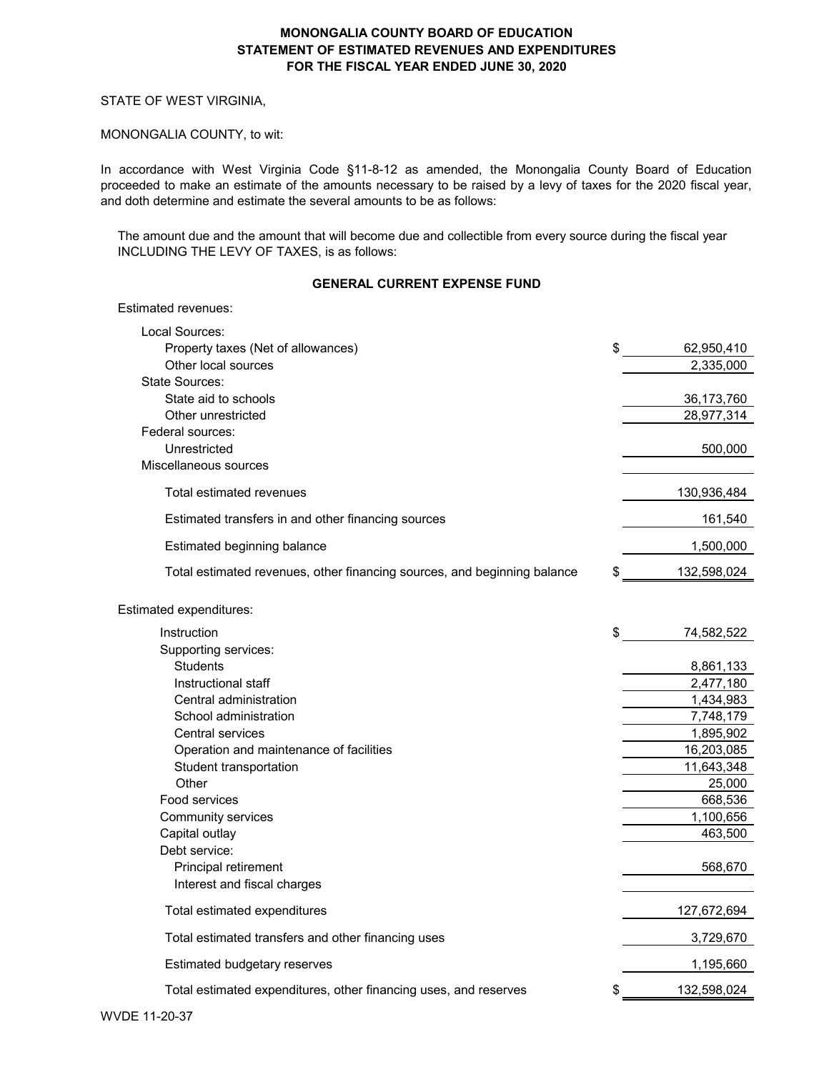#### STATE OF WEST VIRGINIA,

Estimated revenues:

#### MONONGALIA COUNTY, to wit:

In accordance with West Virginia Code §11-8-12 as amended, the Monongalia County Board of Education proceeded to make an estimate of the amounts necessary to be raised by a levy of taxes for the 2020 fiscal year, and doth determine and estimate the several amounts to be as follows:

The amount due and the amount that will become due and collectible from every source during the fiscal year INCLUDING THE LEVY OF TAXES, is as follows:

## **GENERAL CURRENT EXPENSE FUND**

| Local Sources:                                                           |                  |
|--------------------------------------------------------------------------|------------------|
| Property taxes (Net of allowances)                                       | \$<br>62,950,410 |
| Other local sources                                                      | 2,335,000        |
| State Sources:                                                           |                  |
| State aid to schools                                                     | 36,173,760       |
| Other unrestricted                                                       | 28,977,314       |
| Federal sources:                                                         |                  |
| Unrestricted                                                             | 500,000          |
| Miscellaneous sources                                                    |                  |
| Total estimated revenues                                                 | 130,936,484      |
| Estimated transfers in and other financing sources                       | 161,540          |
| Estimated beginning balance                                              | 1,500,000        |
| Total estimated revenues, other financing sources, and beginning balance | 132,598,024      |
| Estimated expenditures:                                                  |                  |
| Instruction                                                              | \$<br>74,582,522 |
| Supporting services:                                                     |                  |
| <b>Students</b>                                                          | 8,861,133        |
| Instructional staff                                                      | 2,477,180        |
| Central administration                                                   | 1,434,983        |
| School administration                                                    | 7,748,179        |
| <b>Central services</b>                                                  | 1,895,902        |
| Operation and maintenance of facilities                                  | 16,203,085       |
| Student transportation                                                   | 11,643,348       |
| Other                                                                    | 25,000           |
| Food services                                                            | 668,536          |
| Community services                                                       | 1,100,656        |
| Capital outlay                                                           | 463,500          |
| Debt service:                                                            |                  |
| Principal retirement                                                     | 568,670          |
| Interest and fiscal charges                                              |                  |
| Total estimated expenditures                                             | 127,672,694      |
| Total estimated transfers and other financing uses                       | 3,729,670        |
| Estimated budgetary reserves                                             | 1,195,660        |
| Total estimated expenditures, other financing uses, and reserves         | 132,598,024      |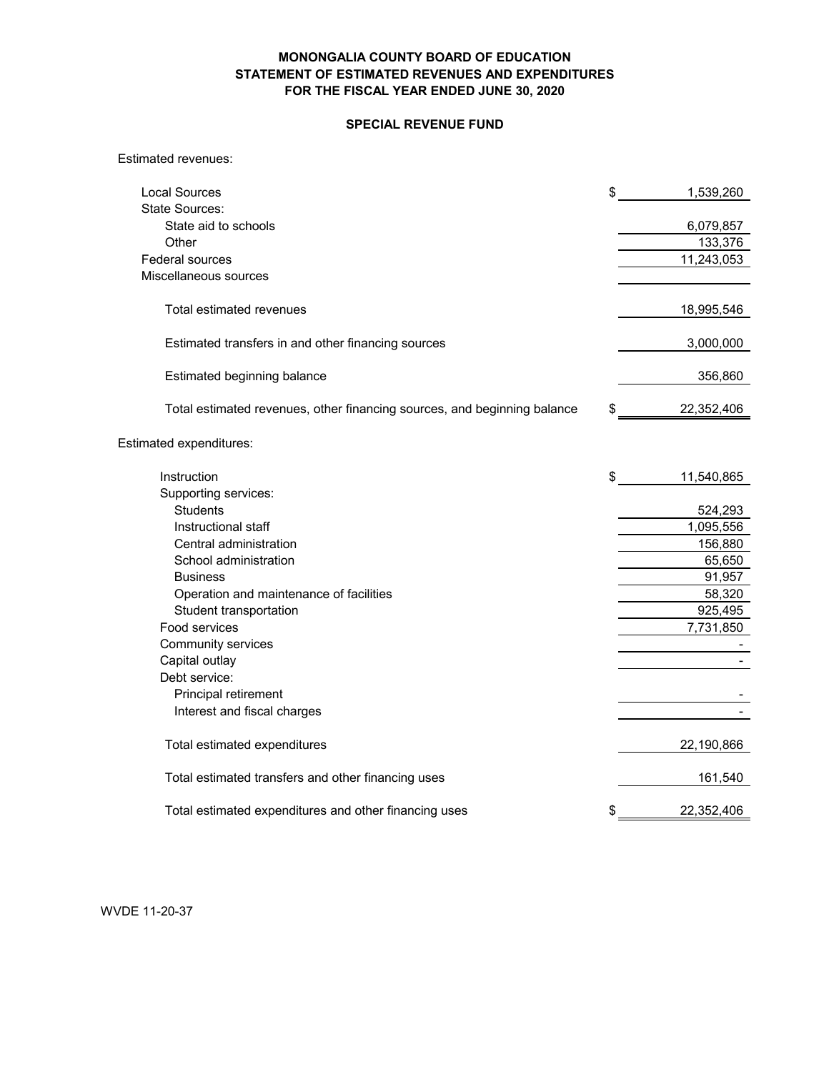### **SPECIAL REVENUE FUND**

#### Estimated revenues:

| <b>Local Sources</b>                                                     | \$<br>1,539,260  |
|--------------------------------------------------------------------------|------------------|
| <b>State Sources:</b>                                                    |                  |
| State aid to schools                                                     | 6,079,857        |
| Other                                                                    | 133,376          |
| Federal sources                                                          | 11,243,053       |
| Miscellaneous sources                                                    |                  |
| Total estimated revenues                                                 | 18,995,546       |
| Estimated transfers in and other financing sources                       | 3,000,000        |
| Estimated beginning balance                                              | 356,860          |
| Total estimated revenues, other financing sources, and beginning balance | \$<br>22,352,406 |
| Estimated expenditures:                                                  |                  |
| Instruction                                                              | \$<br>11,540,865 |
| Supporting services:                                                     |                  |
| <b>Students</b>                                                          | 524,293          |
| Instructional staff                                                      | 1,095,556        |
| Central administration                                                   | 156,880          |
| School administration                                                    | 65,650           |
| <b>Business</b>                                                          | 91,957           |
| Operation and maintenance of facilities                                  | 58,320           |
| Student transportation                                                   | 925,495          |
| Food services                                                            | 7,731,850        |
| Community services                                                       |                  |
| Capital outlay                                                           |                  |
| Debt service:                                                            |                  |
| Principal retirement                                                     |                  |
| Interest and fiscal charges                                              |                  |
| Total estimated expenditures                                             | 22,190,866       |
| Total estimated transfers and other financing uses                       | 161,540          |
| Total estimated expenditures and other financing uses                    | \$<br>22,352,406 |

WVDE 11-20-37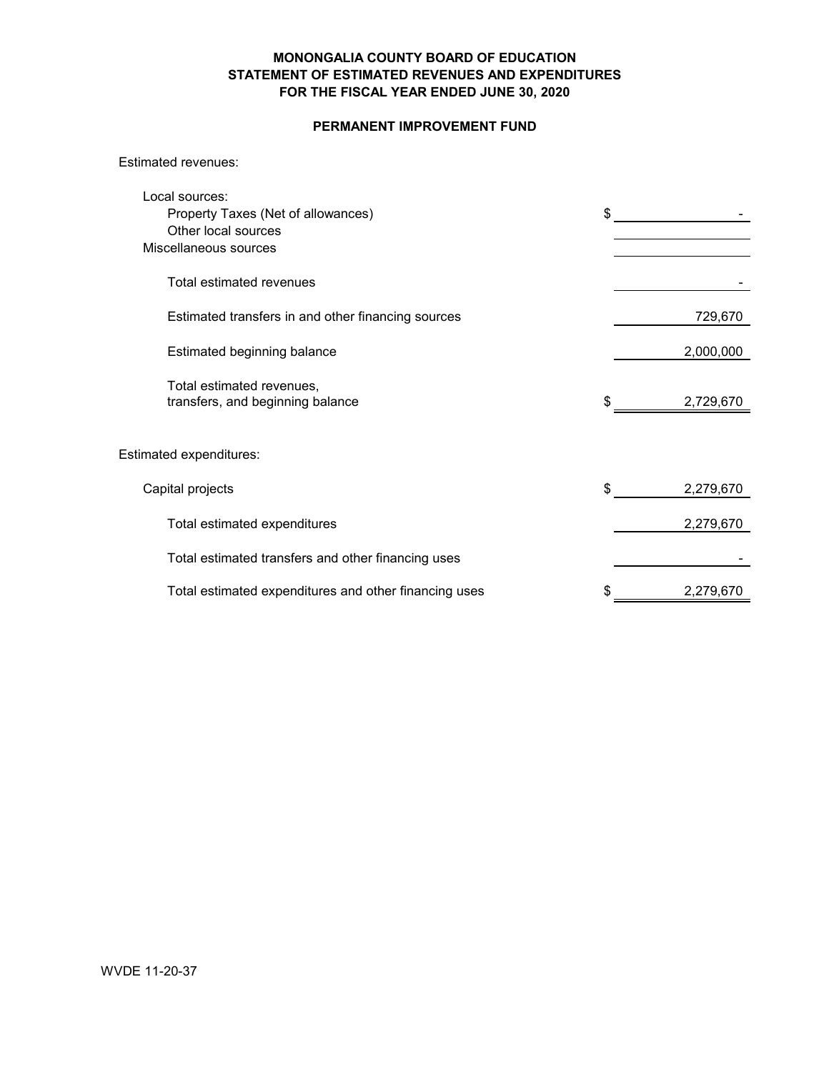## **PERMANENT IMPROVEMENT FUND**

#### Estimated revenues:

| Local sources:                                                |                 |
|---------------------------------------------------------------|-----------------|
| Property Taxes (Net of allowances)                            | \$              |
| Other local sources                                           |                 |
| Miscellaneous sources                                         |                 |
| Total estimated revenues                                      |                 |
| Estimated transfers in and other financing sources            | 729,670         |
| Estimated beginning balance                                   | 2,000,000       |
| Total estimated revenues,<br>transfers, and beginning balance | \$<br>2,729,670 |
| Estimated expenditures:                                       |                 |
| Capital projects                                              | \$<br>2,279,670 |
| Total estimated expenditures                                  | 2,279,670       |
| Total estimated transfers and other financing uses            |                 |
| Total estimated expenditures and other financing uses         | \$<br>2,279,670 |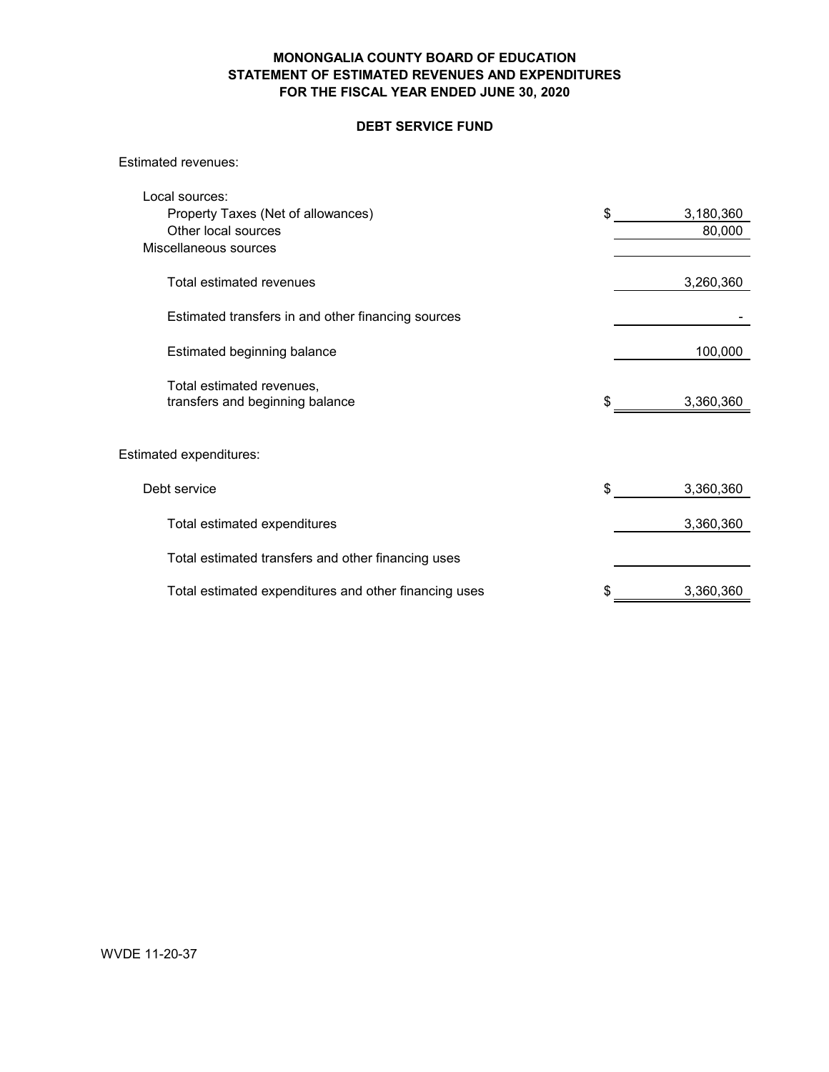## **DEBT SERVICE FUND**

Estimated revenues:

| Local sources:                                               |                 |
|--------------------------------------------------------------|-----------------|
| Property Taxes (Net of allowances)                           | \$<br>3,180,360 |
| Other local sources                                          | 80,000          |
| Miscellaneous sources                                        |                 |
| Total estimated revenues                                     | 3,260,360       |
| Estimated transfers in and other financing sources           |                 |
| Estimated beginning balance                                  | 100,000         |
| Total estimated revenues,<br>transfers and beginning balance | \$<br>3,360,360 |
| Estimated expenditures:                                      |                 |
|                                                              |                 |
| Debt service                                                 | \$<br>3,360,360 |
| Total estimated expenditures                                 | 3,360,360       |
| Total estimated transfers and other financing uses           |                 |
| Total estimated expenditures and other financing uses        | \$<br>3,360,360 |